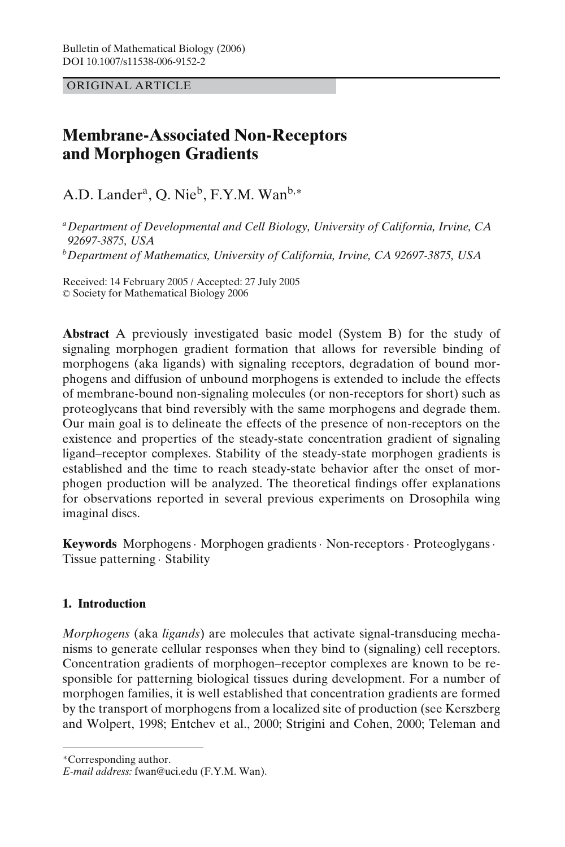ORIGINAL ARTICLE

# **Membrane-Associated Non-Receptors and Morphogen Gradients**

A.D. Lander<sup>a</sup>, O. Nie<sup>b</sup>, F.Y.M. Wan<sup>b,∗</sup>

*aDepartment of Developmental and Cell Biology, University of California, Irvine, CA 92697-3875, USA bDepartment of Mathematics, University of California, Irvine, CA 92697-3875, USA*

Received: 14 February 2005 / Accepted: 27 July 2005 -<sup>C</sup> Society for Mathematical Biology 2006

**Abstract** A previously investigated basic model (System B) for the study of signaling morphogen gradient formation that allows for reversible binding of morphogens (aka ligands) with signaling receptors, degradation of bound morphogens and diffusion of unbound morphogens is extended to include the effects of membrane-bound non-signaling molecules (or non-receptors for short) such as proteoglycans that bind reversibly with the same morphogens and degrade them. Our main goal is to delineate the effects of the presence of non-receptors on the existence and properties of the steady-state concentration gradient of signaling ligand–receptor complexes. Stability of the steady-state morphogen gradients is established and the time to reach steady-state behavior after the onset of morphogen production will be analyzed. The theoretical findings offer explanations for observations reported in several previous experiments on Drosophila wing imaginal discs.

**Keywords** Morphogens· Morphogen gradients· Non-receptors· Proteoglygans· Tissue patterning · Stability

# **1. Introduction**

*Morphogens* (aka *ligands*) are molecules that activate signal-transducing mechanisms to generate cellular responses when they bind to (signaling) cell receptors. Concentration gradients of morphogen–receptor complexes are known to be responsible for patterning biological tissues during development. For a number of morphogen families, it is well established that concentration gradients are formed by the transport of morphogens from a localized site of production (see Kerszberg and Wolpert, 1998; Entchev et al., 2000; Strigini and Cohen, 2000; Teleman and

<sup>∗</sup>Corresponding author.

*E-mail address:* fwan@uci.edu (F.Y.M. Wan).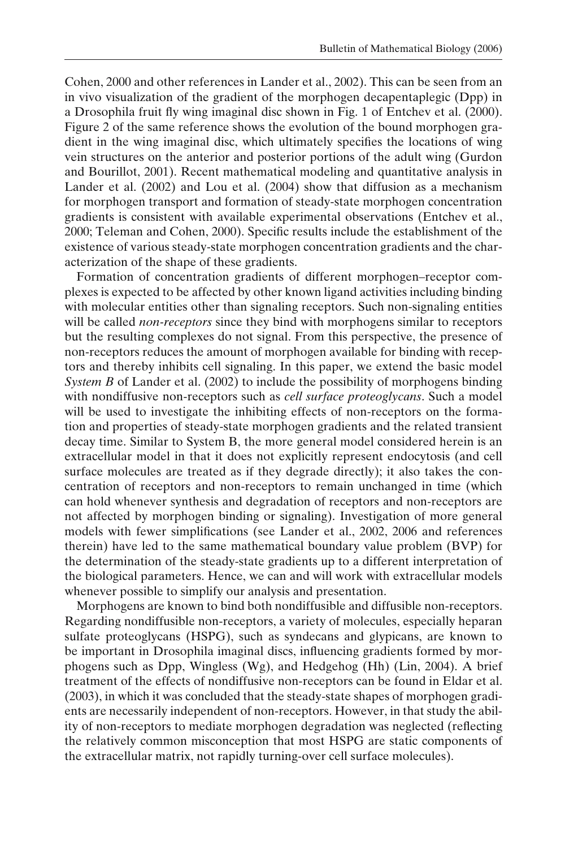Cohen, 2000 and other references in Lander et al., 2002). This can be seen from an in vivo visualization of the gradient of the morphogen decapentaplegic (Dpp) in a Drosophila fruit fly wing imaginal disc shown in Fig. 1 of Entchev et al. (2000). Figure 2 of the same reference shows the evolution of the bound morphogen gradient in the wing imaginal disc, which ultimately specifies the locations of wing vein structures on the anterior and posterior portions of the adult wing (Gurdon and Bourillot, 2001). Recent mathematical modeling and quantitative analysis in Lander et al. (2002) and Lou et al. (2004) show that diffusion as a mechanism for morphogen transport and formation of steady-state morphogen concentration gradients is consistent with available experimental observations (Entchev et al., 2000; Teleman and Cohen, 2000). Specific results include the establishment of the existence of various steady-state morphogen concentration gradients and the characterization of the shape of these gradients.

Formation of concentration gradients of different morphogen–receptor complexes is expected to be affected by other known ligand activities including binding with molecular entities other than signaling receptors. Such non-signaling entities will be called *non-receptors* since they bind with morphogens similar to receptors but the resulting complexes do not signal. From this perspective, the presence of non-receptors reduces the amount of morphogen available for binding with receptors and thereby inhibits cell signaling. In this paper, we extend the basic model *System B* of Lander et al. (2002) to include the possibility of morphogens binding with nondiffusive non-receptors such as *cell surface proteoglycans*. Such a model will be used to investigate the inhibiting effects of non-receptors on the formation and properties of steady-state morphogen gradients and the related transient decay time. Similar to System B, the more general model considered herein is an extracellular model in that it does not explicitly represent endocytosis (and cell surface molecules are treated as if they degrade directly); it also takes the concentration of receptors and non-receptors to remain unchanged in time (which can hold whenever synthesis and degradation of receptors and non-receptors are not affected by morphogen binding or signaling). Investigation of more general models with fewer simplifications (see Lander et al., 2002, 2006 and references therein) have led to the same mathematical boundary value problem (BVP) for the determination of the steady-state gradients up to a different interpretation of the biological parameters. Hence, we can and will work with extracellular models whenever possible to simplify our analysis and presentation.

Morphogens are known to bind both nondiffusible and diffusible non-receptors. Regarding nondiffusible non-receptors, a variety of molecules, especially heparan sulfate proteoglycans (HSPG), such as syndecans and glypicans, are known to be important in Drosophila imaginal discs, influencing gradients formed by morphogens such as Dpp, Wingless (Wg), and Hedgehog (Hh) (Lin, 2004). A brief treatment of the effects of nondiffusive non-receptors can be found in Eldar et al. (2003), in which it was concluded that the steady-state shapes of morphogen gradients are necessarily independent of non-receptors. However, in that study the ability of non-receptors to mediate morphogen degradation was neglected (reflecting the relatively common misconception that most HSPG are static components of the extracellular matrix, not rapidly turning-over cell surface molecules).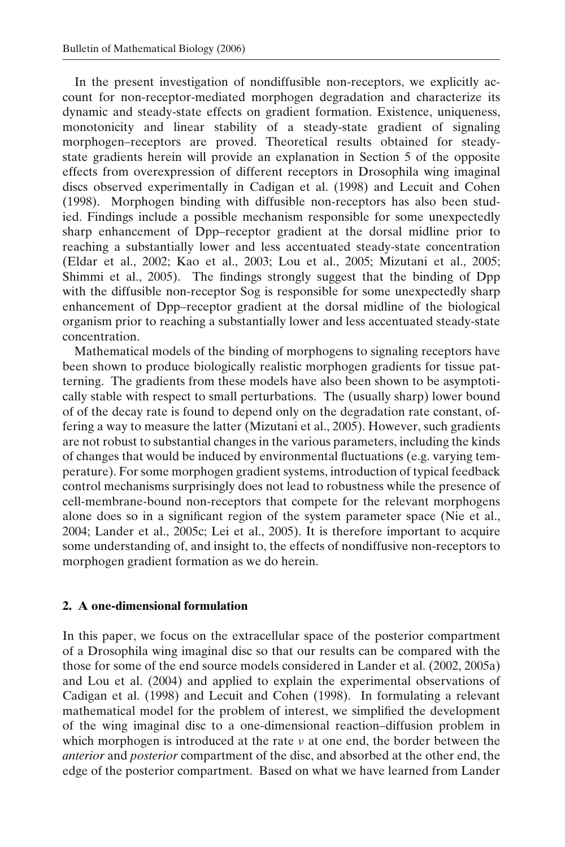In the present investigation of nondiffusible non-receptors, we explicitly account for non-receptor-mediated morphogen degradation and characterize its dynamic and steady-state effects on gradient formation. Existence, uniqueness, monotonicity and linear stability of a steady-state gradient of signaling morphogen–receptors are proved. Theoretical results obtained for steadystate gradients herein will provide an explanation in Section 5 of the opposite effects from overexpression of different receptors in Drosophila wing imaginal discs observed experimentally in Cadigan et al. (1998) and Lecuit and Cohen (1998). Morphogen binding with diffusible non-receptors has also been studied. Findings include a possible mechanism responsible for some unexpectedly sharp enhancement of Dpp–receptor gradient at the dorsal midline prior to reaching a substantially lower and less accentuated steady-state concentration (Eldar et al., 2002; Kao et al., 2003; Lou et al., 2005; Mizutani et al., 2005; Shimmi et al., 2005). The findings strongly suggest that the binding of Dpp with the diffusible non-receptor Sog is responsible for some unexpectedly sharp enhancement of Dpp–receptor gradient at the dorsal midline of the biological organism prior to reaching a substantially lower and less accentuated steady-state concentration.

Mathematical models of the binding of morphogens to signaling receptors have been shown to produce biologically realistic morphogen gradients for tissue patterning. The gradients from these models have also been shown to be asymptotically stable with respect to small perturbations. The (usually sharp) lower bound of of the decay rate is found to depend only on the degradation rate constant, offering a way to measure the latter (Mizutani et al., 2005). However, such gradients are not robust to substantial changes in the various parameters, including the kinds of changes that would be induced by environmental fluctuations (e.g. varying temperature). For some morphogen gradient systems, introduction of typical feedback control mechanisms surprisingly does not lead to robustness while the presence of cell-membrane-bound non-receptors that compete for the relevant morphogens alone does so in a significant region of the system parameter space (Nie et al., 2004; Lander et al., 2005c; Lei et al., 2005). It is therefore important to acquire some understanding of, and insight to, the effects of nondiffusive non-receptors to morphogen gradient formation as we do herein.

# **2. A one-dimensional formulation**

In this paper, we focus on the extracellular space of the posterior compartment of a Drosophila wing imaginal disc so that our results can be compared with the those for some of the end source models considered in Lander et al. (2002, 2005a) and Lou et al. (2004) and applied to explain the experimental observations of Cadigan et al. (1998) and Lecuit and Cohen (1998). In formulating a relevant mathematical model for the problem of interest, we simplified the development of the wing imaginal disc to a one-dimensional reaction–diffusion problem in which morphogen is introduced at the rate  $\nu$  at one end, the border between the *anterior* and *posterior* compartment of the disc, and absorbed at the other end, the edge of the posterior compartment. Based on what we have learned from Lander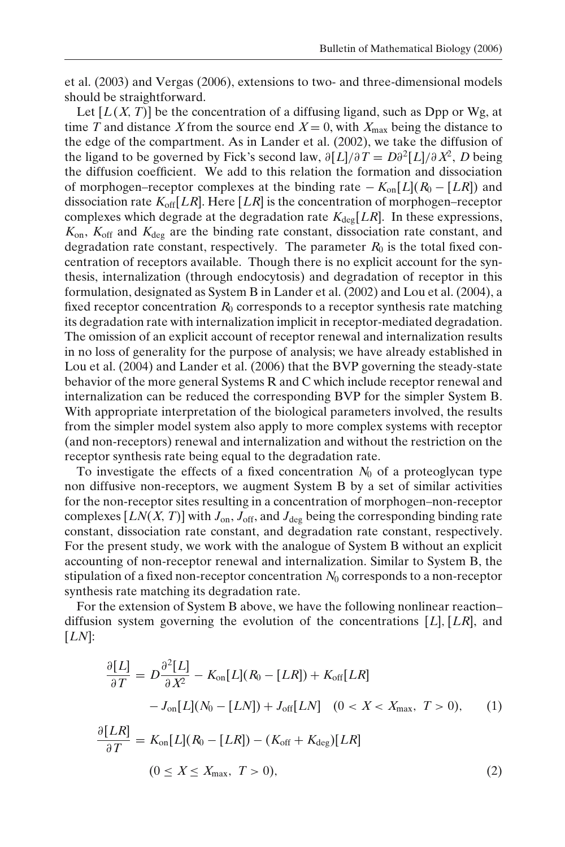et al. (2003) and Vergas (2006), extensions to two- and three-dimensional models should be straightforward.

Let  $[L(X, T)]$  be the concentration of a diffusing ligand, such as Dpp or Wg, at time *T* and distance *X* from the source end  $X = 0$ , with  $X_{\text{max}}$  being the distance to the edge of the compartment. As in Lander et al. (2002), we take the diffusion of the ligand to be governed by Fick's second law,  $\partial[L]/\partial T = D\partial^2[L]/\partial X^2$ , *D* being the diffusion coefficient. We add to this relation the formation and dissociation of morphogen–receptor complexes at the binding rate − *K*on[*L*](*R*<sup>0</sup> − [*LR*]) and dissociation rate  $K_{off}[LR]$ . Here  $[LR]$  is the concentration of morphogen–receptor complexes which degrade at the degradation rate  $K_{\text{deg}}[LR]$ . In these expressions, *K*on, *K*off and *K*deg are the binding rate constant, dissociation rate constant, and degradation rate constant, respectively. The parameter  $R_0$  is the total fixed concentration of receptors available. Though there is no explicit account for the synthesis, internalization (through endocytosis) and degradation of receptor in this formulation, designated as System B in Lander et al. (2002) and Lou et al. (2004), a fixed receptor concentration  $R_0$  corresponds to a receptor synthesis rate matching its degradation rate with internalization implicit in receptor-mediated degradation. The omission of an explicit account of receptor renewal and internalization results in no loss of generality for the purpose of analysis; we have already established in Lou et al. (2004) and Lander et al. (2006) that the BVP governing the steady-state behavior of the more general Systems R and C which include receptor renewal and internalization can be reduced the corresponding BVP for the simpler System B. With appropriate interpretation of the biological parameters involved, the results from the simpler model system also apply to more complex systems with receptor (and non-receptors) renewal and internalization and without the restriction on the receptor synthesis rate being equal to the degradation rate.

To investigate the effects of a fixed concentration  $N_0$  of a proteoglycan type non diffusive non-receptors, we augment System B by a set of similar activities for the non-receptor sites resulting in a concentration of morphogen–non-receptor complexes  $[LN(X, T)]$  with  $J_{on}$ ,  $J_{off}$ , and  $J_{deg}$  being the corresponding binding rate constant, dissociation rate constant, and degradation rate constant, respectively. For the present study, we work with the analogue of System B without an explicit accounting of non-receptor renewal and internalization. Similar to System B, the stipulation of a fixed non-receptor concentration  $N_0$  corresponds to a non-receptor synthesis rate matching its degradation rate.

For the extension of System B above, we have the following nonlinear reaction– diffusion system governing the evolution of the concentrations  $[L], [LR]$ , and [*LN*]:

$$
\frac{\partial [L]}{\partial T} = D \frac{\partial^2 [L]}{\partial X^2} - K_{on}[L](R_0 - [LR]) + K_{off}[LR] \n- J_{on}[L](N_0 - [LN]) + J_{off}[LN] \quad (0 < X < X_{\text{max}}, \ T > 0), \tag{1}
$$

$$
\frac{\partial [LK]}{\partial T} = K_{\text{on}}[L](R_0 - [LR]) - (K_{\text{off}} + K_{\text{deg}})[LR]
$$
  

$$
(0 \le X \le X_{\text{max}}, T > 0),
$$
 (2)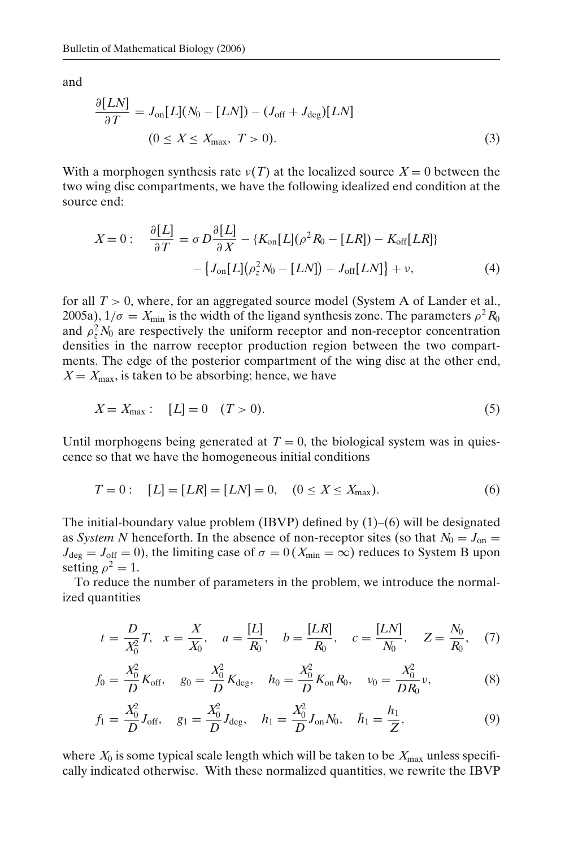and

$$
\frac{\partial [LN]}{\partial T} = J_{\text{on}}[L](N_0 - [LN]) - (J_{\text{off}} + J_{\text{deg}})[LN]
$$
  

$$
(0 \le X \le X_{\text{max}}, T > 0).
$$
 (3)

With a morphogen synthesis rate  $v(T)$  at the localized source  $X = 0$  between the two wing disc compartments, we have the following idealized end condition at the source end:

$$
X = 0: \quad \frac{\partial [L]}{\partial T} = \sigma D \frac{\partial [L]}{\partial X} - \{K_{\text{on}}[L](\rho^2 R_0 - [LR]) - K_{\text{off}}[LR]\}
$$

$$
- \{J_{\text{on}}[L](\rho_z^2 N_0 - [LN]) - J_{\text{off}}[LN]\} + \nu,
$$
(4)

for all  $T > 0$ , where, for an aggregated source model (System A of Lander et al., 2005a),  $1/\sigma = X_{\text{min}}$  is the width of the ligand synthesis zone. The parameters  $\rho^2 R_0$ and  $\rho_z^2 N_0$  are respectively the uniform receptor and non-receptor concentration densities in the narrow receptor production region between the two compartments. The edge of the posterior compartment of the wing disc at the other end,  $X = X_{\text{max}}$ , is taken to be absorbing; hence, we have

$$
X = X_{\text{max}}: \quad [L] = 0 \quad (T > 0). \tag{5}
$$

Until morphogens being generated at  $T = 0$ , the biological system was in quiescence so that we have the homogeneous initial conditions

$$
T = 0: \quad [L] = [LR] = [LN] = 0, \quad (0 \le X \le X_{\text{max}}). \tag{6}
$$

The initial-boundary value problem (IBVP) defined by  $(1)$ – $(6)$  will be designated as *System N* henceforth. In the absence of non-receptor sites (so that  $N_0 = J_{on}$  $J_{\text{deg}} = J_{\text{off}} = 0$ ), the limiting case of  $\sigma = 0$  ( $X_{\text{min}} = \infty$ ) reduces to System B upon setting  $\rho^2 = 1$ .

To reduce the number of parameters in the problem, we introduce the normalized quantities

$$
t = \frac{D}{X_0^2}T
$$
,  $x = \frac{X}{X_0}$ ,  $a = \frac{[L]}{R_0}$ ,  $b = \frac{[LR]}{R_0}$ ,  $c = \frac{[LN]}{N_0}$ ,  $Z = \frac{N_0}{R_0}$ , (7)

$$
f_0 = \frac{X_0^2}{D} K_{\text{off}}, \quad g_0 = \frac{X_0^2}{D} K_{\text{deg}}, \quad h_0 = \frac{X_0^2}{D} K_{\text{on}} R_0, \quad v_0 = \frac{X_0^2}{D R_0} v,
$$
 (8)

$$
f_1 = \frac{X_0^2}{D} J_{\text{off}}, \quad g_1 = \frac{X_0^2}{D} J_{\text{deg}}, \quad h_1 = \frac{X_0^2}{D} J_{\text{on}} N_0, \quad \bar{h}_1 = \frac{h_1}{Z}, \tag{9}
$$

where  $X_0$  is some typical scale length which will be taken to be  $X_{\text{max}}$  unless specifically indicated otherwise. With these normalized quantities, we rewrite the IBVP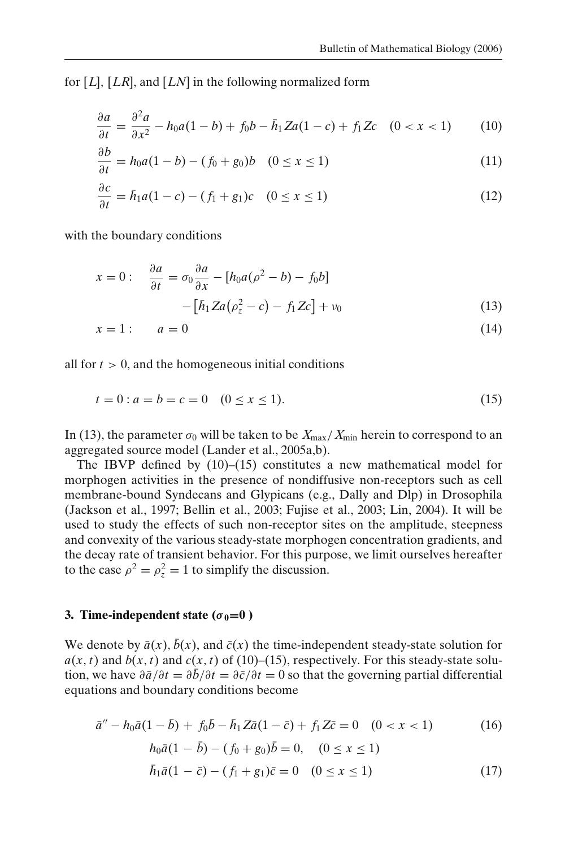for [*L*], [*LR*], and [*LN*] in the following normalized form

$$
\frac{\partial a}{\partial t} = \frac{\partial^2 a}{\partial x^2} - h_0 a (1 - b) + f_0 b - \bar{h}_1 Z a (1 - c) + f_1 Z c \quad (0 < x < 1) \tag{10}
$$

$$
\frac{\partial b}{\partial t} = h_0 a (1 - b) - (f_0 + g_0) b \quad (0 \le x \le 1)
$$
\n<sup>(11)</sup>

$$
\frac{\partial c}{\partial t} = \bar{h}_1 a (1 - c) - (f_1 + g_1) c \quad (0 \le x \le 1)
$$
\n
$$
(12)
$$

with the boundary conditions

$$
x = 0: \quad \frac{\partial a}{\partial t} = \sigma_0 \frac{\partial a}{\partial x} - [h_0 a(\rho^2 - b) - f_0 b]
$$

$$
- [h_1 Z a(\rho_z^2 - c) - f_1 Z c] + \nu_0 \tag{13}
$$

$$
x = 1: \qquad a = 0 \tag{14}
$$

all for  $t > 0$ , and the homogeneous initial conditions

$$
t = 0: a = b = c = 0 \quad (0 \le x \le 1). \tag{15}
$$

In (13), the parameter  $\sigma_0$  will be taken to be  $X_{\text{max}}/X_{\text{min}}$  herein to correspond to an aggregated source model (Lander et al., 2005a,b).

The IBVP defined by (10)–(15) constitutes a new mathematical model for morphogen activities in the presence of nondiffusive non-receptors such as cell membrane-bound Syndecans and Glypicans (e.g., Dally and Dlp) in Drosophila (Jackson et al., 1997; Bellin et al., 2003; Fujise et al., 2003; Lin, 2004). It will be used to study the effects of such non-receptor sites on the amplitude, steepness and convexity of the various steady-state morphogen concentration gradients, and the decay rate of transient behavior. For this purpose, we limit ourselves hereafter to the case  $\rho^2 = \rho_z^2 = 1$  to simplify the discussion.

### **3. Time-independent state (** $\sigma_0 = 0$ **)**

We denote by  $\bar{a}(x)$ ,  $\bar{b}(x)$ , and  $\bar{c}(x)$  the time-independent steady-state solution for  $a(x, t)$  and  $b(x, t)$  and  $c(x, t)$  of (10)–(15), respectively. For this steady-state solution, we have  $\frac{\partial \bar{a}}{\partial t} = \frac{\partial \bar{b}}{\partial t} = \frac{\partial \bar{c}}{\partial t} = 0$  so that the governing partial differential equations and boundary conditions become

$$
\bar{a}'' - h_0 \bar{a} (1 - \bar{b}) + f_0 \bar{b} - \bar{h}_1 Z \bar{a} (1 - \bar{c}) + f_1 Z \bar{c} = 0 \quad (0 < x < 1) \tag{16}
$$
\n
$$
h_0 \bar{a} (1 - \bar{b}) - (f_0 + g_0) \bar{b} = 0, \quad (0 \le x \le 1)
$$
\n
$$
\bar{h}_1 \bar{a} (1 - \bar{c}) - (f_1 + g_1) \bar{c} = 0 \quad (0 \le x \le 1) \tag{17}
$$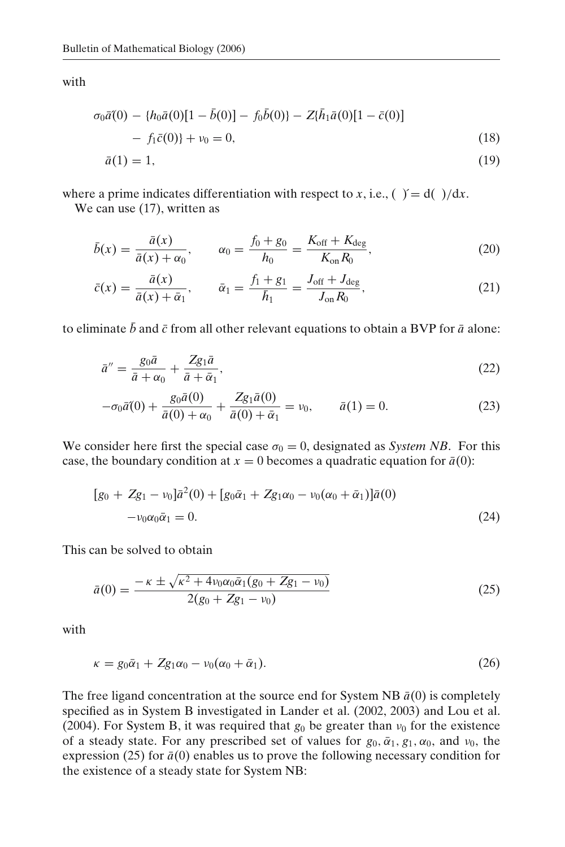with

$$
\sigma_0 \bar{a}(0) - \{h_0 \bar{a}(0)[1 - \bar{b}(0)] - f_0 \bar{b}(0)\} - Z\{\bar{h}_1 \bar{a}(0)[1 - \bar{c}(0)]
$$
  
-  $f_1 \bar{c}(0)\} + \nu_0 = 0,$  (18)  

$$
\bar{a}(1) = 1,
$$
 (19)

where a prime indicates differentiation with respect to *x*, i.e., ( $\gamma = d(\gamma/dx)$ .

We can use  $(17)$ , written as

$$
\bar{b}(x) = \frac{\bar{a}(x)}{\bar{a}(x) + \alpha_0}, \qquad \alpha_0 = \frac{f_0 + g_0}{h_0} = \frac{K_{\text{off}} + K_{\text{deg}}}{K_{\text{on}} R_0},\tag{20}
$$

$$
\bar{c}(x) = \frac{\bar{a}(x)}{\bar{a}(x) + \bar{\alpha}_1}, \qquad \bar{\alpha}_1 = \frac{f_1 + g_1}{\bar{h}_1} = \frac{J_{\text{off}} + J_{\text{deg}}}{J_{\text{on}} R_0},\tag{21}
$$

to eliminate  $\bar{b}$  and  $\bar{c}$  from all other relevant equations to obtain a BVP for  $\bar{a}$  alone:

$$
\bar{a}'' = \frac{g_0 \bar{a}}{\bar{a} + \alpha_0} + \frac{Z g_1 \bar{a}}{\bar{a} + \bar{\alpha}_1},\tag{22}
$$

$$
-\sigma_0 \bar{a}(0) + \frac{g_0 \bar{a}(0)}{\bar{a}(0) + \alpha_0} + \frac{Z g_1 \bar{a}(0)}{\bar{a}(0) + \bar{\alpha}_1} = \nu_0, \qquad \bar{a}(1) = 0.
$$
 (23)

We consider here first the special case  $\sigma_0 = 0$ , designated as *System NB*. For this case, the boundary condition at  $x = 0$  becomes a quadratic equation for  $\bar{a}(0)$ :

$$
[g_0 + Zg_1 - \nu_0]\bar{a}^2(0) + [g_0\bar{\alpha}_1 + Zg_1\alpha_0 - \nu_0(\alpha_0 + \bar{\alpha}_1)]\bar{a}(0)
$$
  
- $\nu_0\alpha_0\bar{\alpha}_1 = 0.$  (24)

This can be solved to obtain

$$
\bar{a}(0) = \frac{-\kappa \pm \sqrt{\kappa^2 + 4\nu_0 \alpha_0 \bar{\alpha}_1 (g_0 + Zg_1 - \nu_0)}}{2(g_0 + Zg_1 - \nu_0)}
$$
(25)

with

$$
\kappa = g_0 \bar{\alpha}_1 + Zg_1 \alpha_0 - \nu_0 (\alpha_0 + \bar{\alpha}_1). \tag{26}
$$

The free ligand concentration at the source end for System NB  $\bar{a}(0)$  is completely specified as in System B investigated in Lander et al. (2002, 2003) and Lou et al. (2004). For System B, it was required that  $g_0$  be greater than  $v_0$  for the existence of a steady state. For any prescribed set of values for  $g_0$ ,  $\bar{a}_1$ ,  $g_1$ ,  $\alpha_0$ , and  $v_0$ , the expression (25) for  $\bar{a}(0)$  enables us to prove the following necessary condition for the existence of a steady state for System NB: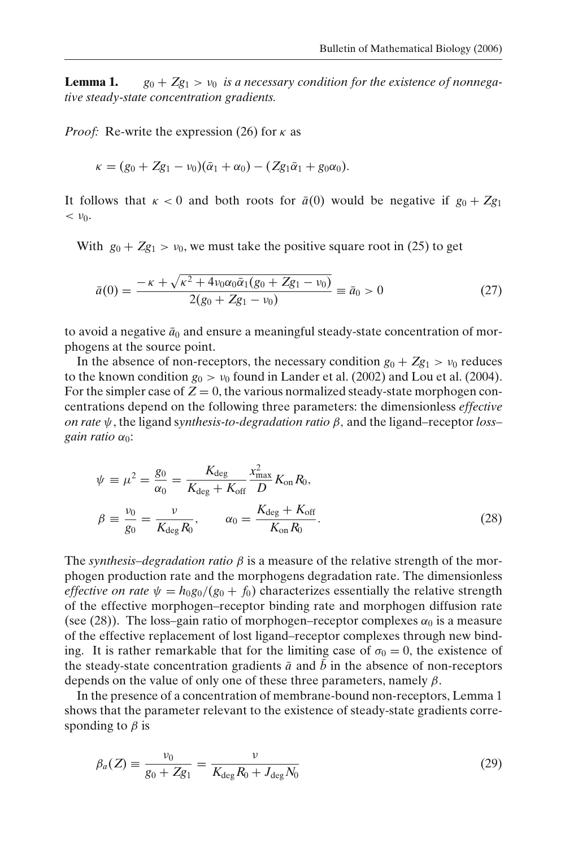**Lemma 1.**  $g_0 + Zg_1 > v_0$  *is a necessary condition for the existence of nonnegative steady-state concentration gradients.*

*Proof:* Re-write the expression (26) for  $\kappa$  as

$$
\kappa = (g_0 + Zg_1 - \nu_0)(\bar{\alpha}_1 + \alpha_0) - (Zg_1\bar{\alpha}_1 + g_0\alpha_0).
$$

It follows that  $\kappa < 0$  and both roots for  $\bar{a}(0)$  would be negative if  $g_0 + Zg_1$  $< v_0$ .

With  $g_0 + Zg_1 > v_0$ , we must take the positive square root in (25) to get

$$
\bar{a}(0) = \frac{-\kappa + \sqrt{\kappa^2 + 4\nu_0\alpha_0\bar{\alpha}_1(g_0 + Zg_1 - \nu_0)}}{2(g_0 + Zg_1 - \nu_0)} \equiv \bar{a}_0 > 0 \tag{27}
$$

to avoid a negative  $\bar{a}_0$  and ensure a meaningful steady-state concentration of morphogens at the source point.

In the absence of non-receptors, the necessary condition  $g_0 + Zg_1 > v_0$  reduces to the known condition  $g_0 > v_0$  found in Lander et al. (2002) and Lou et al. (2004). For the simpler case of  $Z = 0$ , the various normalized steady-state morphogen concentrations depend on the following three parameters: the dimensionless *effective on rate* ψ, the ligand s*ynthesis-to-degradation ratio* β, and the ligand–receptor *loss– gain ratio*  $\alpha_0$ :

$$
\psi = \mu^2 = \frac{g_0}{\alpha_0} = \frac{K_{\text{deg}}}{K_{\text{deg}} + K_{\text{off}}} \frac{x_{\text{max}}^2}{D} K_{\text{on}} R_0, \n\beta = \frac{\nu_0}{g_0} = \frac{\nu}{K_{\text{deg}} R_0}, \qquad \alpha_0 = \frac{K_{\text{deg}} + K_{\text{off}}}{K_{\text{on}} R_0}.
$$
\n(28)

The *synthesis–degradation ratio*  $\beta$  is a measure of the relative strength of the morphogen production rate and the morphogens degradation rate. The dimensionless *effective on rate*  $\psi = h_0 g_0/(g_0 + f_0)$  characterizes essentially the relative strength of the effective morphogen–receptor binding rate and morphogen diffusion rate (see (28)). The loss–gain ratio of morphogen–receptor complexes  $\alpha_0$  is a measure of the effective replacement of lost ligand–receptor complexes through new binding. It is rather remarkable that for the limiting case of  $\sigma_0 = 0$ , the existence of the steady-state concentration gradients  $\bar{a}$  and  $\bar{b}$  in the absence of non-receptors depends on the value of only one of these three parameters, namely  $\beta$ .

In the presence of a concentration of membrane-bound non-receptors, Lemma 1 shows that the parameter relevant to the existence of steady-state gradients corresponding to  $\beta$  is

$$
\beta_a(Z) \equiv \frac{\nu_0}{g_0 + Zg_1} = \frac{\nu}{K_{\text{deg}} R_0 + J_{\text{deg}} N_0} \tag{29}
$$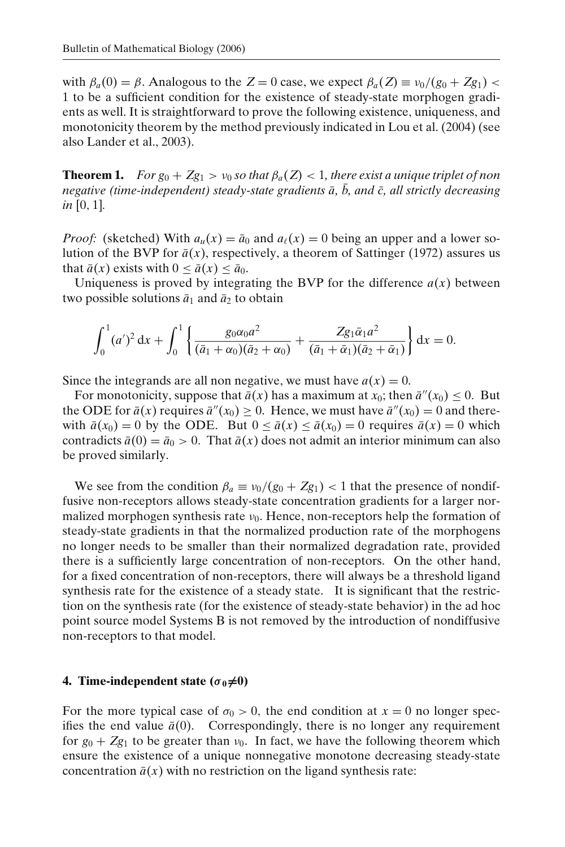with  $\beta_a(0) = \beta$ . Analogous to the  $Z = 0$  case, we expect  $\beta_a(Z) \equiv \nu_0/(g_0 + Zg_1)$ 1 to be a sufficient condition for the existence of steady-state morphogen gradients as well. It is straightforward to prove the following existence, uniqueness, and monotonicity theorem by the method previously indicated in Lou et al. (2004) (see also Lander et al., 2003).

**Theorem 1.** *For g*<sup>0</sup> +  $Zg_1 > v_0$  *so that*  $\beta_a(Z) < 1$ *, there exist a unique triplet of non negative (time-independent) steady-state gradients*  $\bar{a}$ ,  $\bar{b}$ , and  $\bar{c}$ , all strictly decreasing *in* [0, 1]*.*

*Proof:* (sketched) With  $a_u(x) = \bar{a}_0$  and  $a_\ell(x) = 0$  being an upper and a lower solution of the BVP for  $\bar{a}(x)$ , respectively, a theorem of Sattinger (1972) assures us that  $\bar{a}(x)$  exists with  $0 \le \bar{a}(x) \le \bar{a}_0$ .

Uniqueness is proved by integrating the BVP for the difference  $a(x)$  between two possible solutions  $\bar{a}_1$  and  $\bar{a}_2$  to obtain

$$
\int_0^1 (a')^2 dx + \int_0^1 \left\{ \frac{g_0 \alpha_0 a^2}{(\bar{a}_1 + \alpha_0)(\bar{a}_2 + \alpha_0)} + \frac{Z g_1 \bar{\alpha}_1 a^2}{(\bar{a}_1 + \bar{\alpha}_1)(\bar{a}_2 + \bar{\alpha}_1)} \right\} dx = 0.
$$

Since the integrands are all non negative, we must have  $a(x) = 0$ .

For monotonicity, suppose that  $\bar{a}(x)$  has a maximum at  $x_0$ ; then  $\bar{a}''(x_0) \leq 0$ . But the ODE for  $\bar{a}(x)$  requires  $\bar{a}''(x_0) \ge 0$ . Hence, we must have  $\bar{a}''(x_0) = 0$  and therewith  $\bar{a}(x_0) = 0$  by the ODE. But  $0 \le \bar{a}(x) \le \bar{a}(x_0) = 0$  requires  $\bar{a}(x) = 0$  which contradicts  $\bar{a}(0) = \bar{a}_0 > 0$ . That  $\bar{a}(x)$  does not admit an interior minimum can also be proved similarly.

We see from the condition  $\beta_a \equiv v_0/(g_0 + Zg_1) < 1$  that the presence of nondiffusive non-receptors allows steady-state concentration gradients for a larger normalized morphogen synthesis rate  $v_0$ . Hence, non-receptors help the formation of steady-state gradients in that the normalized production rate of the morphogens no longer needs to be smaller than their normalized degradation rate, provided there is a sufficiently large concentration of non-receptors. On the other hand, for a fixed concentration of non-receptors, there will always be a threshold ligand synthesis rate for the existence of a steady state. It is significant that the restriction on the synthesis rate (for the existence of steady-state behavior) in the ad hoc point source model Systems B is not removed by the introduction of nondiffusive non-receptors to that model.

## **4. Time-independent state (** $\sigma_0 \neq 0$ **)**

For the more typical case of  $\sigma_0 > 0$ , the end condition at  $x = 0$  no longer specifies the end value  $\bar{a}(0)$ . Correspondingly, there is no longer any requirement for  $g_0 + Zg_1$  to be greater than  $v_0$ . In fact, we have the following theorem which ensure the existence of a unique nonnegative monotone decreasing steady-state concentration  $\bar{a}(x)$  with no restriction on the ligand synthesis rate: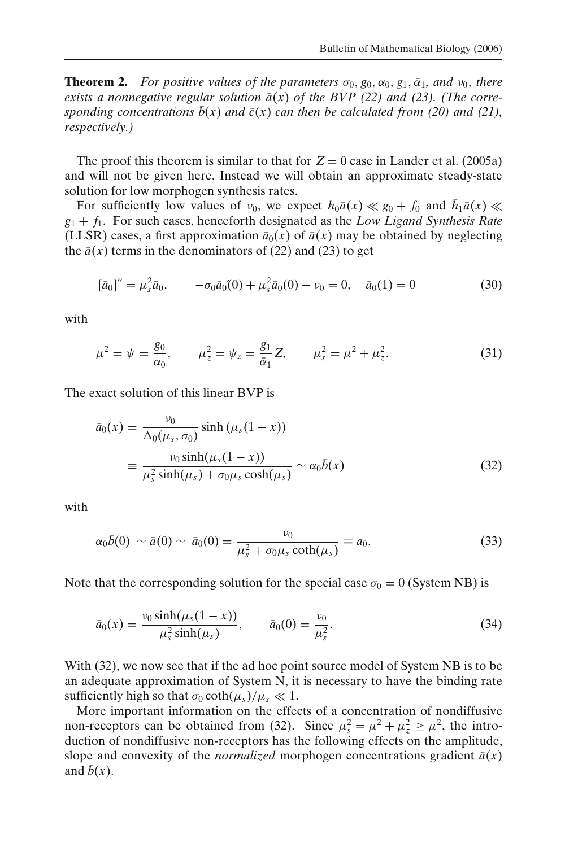**Theorem 2.** *For positive values of the parameters*  $\sigma_0$ ,  $g_0$ ,  $\alpha_0$ ,  $g_1$ ,  $\bar{\alpha}_1$ , and  $v_0$ , there *exists a nonnegative regular solution*  $\bar{a}(x)$  *of the BVP* (22) *and* (23). (The corre*sponding concentrations*  $\bar{b}(x)$  *and*  $\bar{c}(x)$  *can then be calculated from* (20) *and* (21), *respectively.)*

The proof this theorem is similar to that for  $Z = 0$  case in Lander et al. (2005a) and will not be given here. Instead we will obtain an approximate steady-state solution for low morphogen synthesis rates.

For sufficiently low values of  $v_0$ , we expect  $h_0\bar{a}(x) \ll g_0 + f_0$  and  $\bar{h}_1\bar{a}(x) \ll$ *g*<sup>1</sup> + *f*1. For such cases, henceforth designated as the *Low Ligand Synthesis Rate* (LLSR) cases, a first approximation  $\bar{a}_0(x)$  of  $\bar{a}(x)$  may be obtained by neglecting the  $\bar{a}(x)$  terms in the denominators of (22) and (23) to get

$$
[\bar{a}_0]'' = \mu_s^2 \bar{a}_0, \qquad -\sigma_0 \bar{a}_0(0) + \mu_s^2 \bar{a}_0(0) - \nu_0 = 0, \quad \bar{a}_0(1) = 0 \tag{30}
$$

with

$$
\mu^2 = \psi = \frac{g_0}{\alpha_0}, \qquad \mu_z^2 = \psi_z = \frac{g_1}{\bar{\alpha}_1} Z, \qquad \mu_s^2 = \mu^2 + \mu_z^2. \tag{31}
$$

The exact solution of this linear BVP is

$$
\bar{a}_0(x) = \frac{\nu_0}{\Delta_0(\mu_s, \sigma_0)} \sinh(\mu_s(1-x))
$$
  

$$
\equiv \frac{\nu_0 \sinh(\mu_s(1-x))}{\mu_s^2 \sinh(\mu_s) + \sigma_0 \mu_s \cosh(\mu_s)} \sim \alpha_0 \bar{b}(x)
$$
(32)

with

$$
\alpha_0 \bar{b}(0) \sim \bar{a}(0) \sim \bar{a}_0(0) = \frac{\nu_0}{\mu_s^2 + \sigma_0 \mu_s \coth(\mu_s)} \equiv a_0.
$$
 (33)

Note that the corresponding solution for the special case  $\sigma_0 = 0$  (System NB) is

$$
\bar{a}_0(x) = \frac{\nu_0 \sinh(\mu_s(1-x))}{\mu_s^2 \sinh(\mu_s)}, \qquad \bar{a}_0(0) = \frac{\nu_0}{\mu_s^2}.
$$
 (34)

With (32), we now see that if the ad hoc point source model of System NB is to be an adequate approximation of System N, it is necessary to have the binding rate sufficiently high so that  $\sigma_0 \coth(\mu_s)/\mu_s \ll 1$ .

More important information on the effects of a concentration of nondiffusive non-receptors can be obtained from (32). Since  $\mu_s^2 = \mu^2 + \mu_z^2 \ge \mu^2$ , the introduction of nondiffusive non-receptors has the following effects on the amplitude, slope and convexity of the *normalized* morphogen concentrations gradient  $\bar{a}(x)$ and  $\bar{b}(x)$ .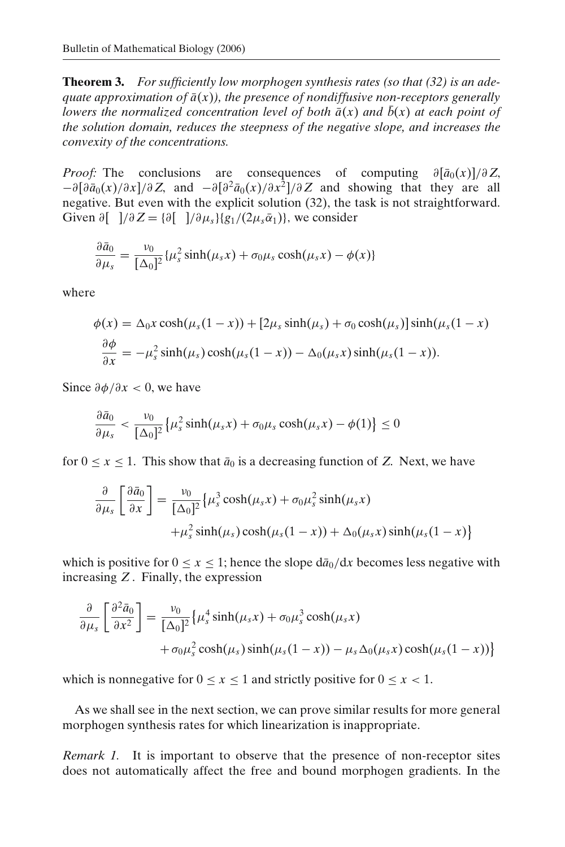**Theorem 3.** *For sufficiently low morphogen synthesis rates (so that (32) is an adequate approximation of*  $\bar{a}(x)$ *), the presence of nondiffusive non-receptors generally lowers the normalized concentration level of both*  $\bar{a}(x)$  *and*  $\bar{b}(x)$  *at each point of the solution domain, reduces the steepness of the negative slope, and increases the convexity of the concentrations.*

*Proof:* The conclusions are consequences of computing  $\partial [\bar{a}_0(x)]/\partial Z$ ,  $-\frac{\partial[\partial \overline{a}_0(x)/\partial x]/\partial Z}{}$ , and  $-\frac{\partial[\partial^2 \overline{a}_0(x)/\partial x^2]}{\partial Z}$  and showing that they are all negative. But even with the explicit solution (32), the task is not straightforward. Given  $\partial$ [  $\partial Z = {\partial$ [  $\partial \mu_s}{g_1/(2\mu_s \bar{\alpha}_1)}$ , we consider

$$
\frac{\partial \bar{a}_0}{\partial \mu_s} = \frac{\nu_0}{[\Delta_0]^2} {\mu_s^2 \sinh(\mu_s x) + \sigma_0 \mu_s \cosh(\mu_s x) - \phi(x) }
$$

where

$$
\phi(x) = \Delta_0 x \cosh(\mu_s(1-x)) + [2\mu_s \sinh(\mu_s) + \sigma_0 \cosh(\mu_s)] \sinh(\mu_s(1-x))
$$

$$
\frac{\partial \phi}{\partial x} = -\mu_s^2 \sinh(\mu_s) \cosh(\mu_s(1-x)) - \Delta_0(\mu_s x) \sinh(\mu_s(1-x)).
$$

Since  $\partial \phi / \partial x < 0$ , we have

$$
\frac{\partial \bar{a}_0}{\partial \mu_s} < \frac{\nu_0}{[\Delta_0]^2} \left\{ \mu_s^2 \sinh(\mu_s x) + \sigma_0 \mu_s \cosh(\mu_s x) - \phi(1) \right\} \le 0
$$

for  $0 \le x \le 1$ . This show that  $\bar{a}_0$  is a decreasing function of *Z*. Next, we have

$$
\frac{\partial}{\partial \mu_s} \left[ \frac{\partial \bar{a}_0}{\partial x} \right] = \frac{\nu_0}{[\Delta_0]^2} \{ \mu_s^3 \cosh(\mu_s x) + \sigma_0 \mu_s^2 \sinh(\mu_s x) + \mu_s^2 \sinh(\mu_s) \cosh(\mu_s (1 - x)) + \Delta_0 (\mu_s x) \sinh(\mu_s (1 - x)) \}
$$

which is positive for  $0 \le x \le 1$ ; hence the slope  $d\bar{a}_0/dx$  becomes less negative with increasing *Z* . Finally, the expression

$$
\frac{\partial}{\partial \mu_s} \left[ \frac{\partial^2 \bar{a}_0}{\partial x^2} \right] = \frac{\nu_0}{[\Delta_0]^2} \{ \mu_s^4 \sinh(\mu_s x) + \sigma_0 \mu_s^3 \cosh(\mu_s x) + \sigma_0 \mu_s^2 \cosh(\mu_s (1 - x)) - \mu_s \Delta_0 (\mu_s x) \cosh(\mu_s (1 - x)) \}
$$

which is nonnegative for  $0 \le x \le 1$  and strictly positive for  $0 \le x < 1$ .

As we shall see in the next section, we can prove similar results for more general morphogen synthesis rates for which linearization is inappropriate.

*Remark 1.* It is important to observe that the presence of non-receptor sites does not automatically affect the free and bound morphogen gradients. In the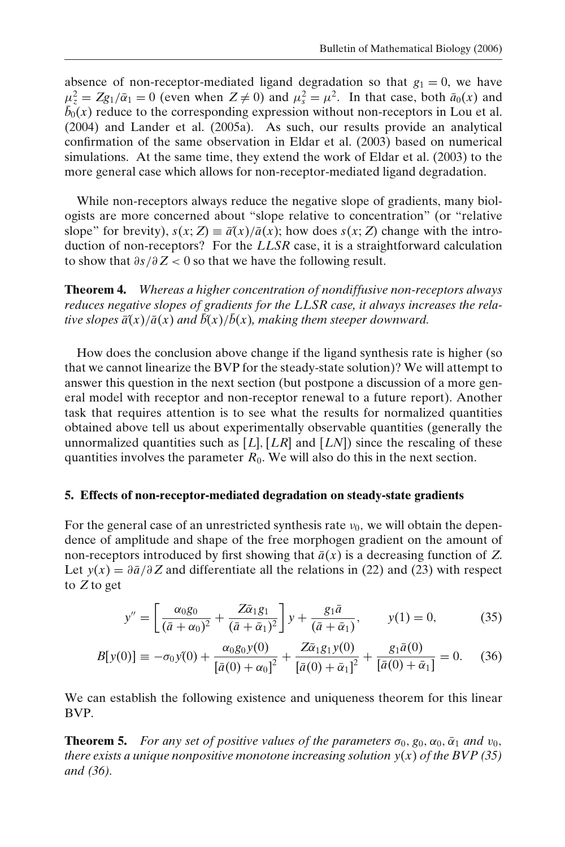absence of non-receptor-mediated ligand degradation so that  $g_1 = 0$ , we have  $\mu_z^2 = Zg_1/\bar{\alpha}_1 = 0$  (even when  $Z \neq 0$ ) and  $\mu_s^2 = \mu^2$ . In that case, both  $\bar{a}_0(x)$  and  $\bar{b}_0(x)$  reduce to the corresponding expression without non-receptors in Lou et al. (2004) and Lander et al. (2005a). As such, our results provide an analytical confirmation of the same observation in Eldar et al. (2003) based on numerical simulations. At the same time, they extend the work of Eldar et al. (2003) to the more general case which allows for non-receptor-mediated ligand degradation.

While non-receptors always reduce the negative slope of gradients, many biologists are more concerned about "slope relative to concentration" (or "relative slope" for brevity),  $s(x; Z) \equiv \bar{a}(x)/\bar{a}(x)$ ; how does  $s(x; Z)$  change with the introduction of non-receptors? For the *LLSR* case, it is a straightforward calculation to show that ∂*s*/∂ *Z* < 0 so that we have the following result.

**Theorem 4.** *Whereas a higher concentration of nondiffusive non-receptors always reduces negative slopes of gradients for the LLSR case, it always increases the relative slopes*  $\bar{a}(x)/\bar{a}(x)$  *and*  $\bar{b}(x)/\bar{b}(x)$ *, making them steeper downward.* 

How does the conclusion above change if the ligand synthesis rate is higher (so that we cannot linearize the BVP for the steady-state solution)? We will attempt to answer this question in the next section (but postpone a discussion of a more general model with receptor and non-receptor renewal to a future report). Another task that requires attention is to see what the results for normalized quantities obtained above tell us about experimentally observable quantities (generally the unnormalized quantities such as  $[L], [LR]$  and  $[LN]$  since the rescaling of these quantities involves the parameter  $R_0$ . We will also do this in the next section.

# **5. Effects of non-receptor-mediated degradation on steady-state gradients**

For the general case of an unrestricted synthesis rate  $v_0$ , we will obtain the dependence of amplitude and shape of the free morphogen gradient on the amount of non-receptors introduced by first showing that  $\bar{a}(x)$  is a decreasing function of *Z*. Let  $y(x) = \partial \bar{a}/\partial Z$  and differentiate all the relations in (22) and (23) with respect to *Z* to get

$$
y'' = \left[ \frac{\alpha_0 g_0}{(\bar{a} + \alpha_0)^2} + \frac{Z \bar{\alpha}_1 g_1}{(\bar{a} + \bar{\alpha}_1)^2} \right] y + \frac{g_1 \bar{a}}{(\bar{a} + \bar{\alpha}_1)}, \qquad y(1) = 0,
$$
 (35)

$$
B[y(0)] \equiv -\sigma_0 y(0) + \frac{\alpha_0 g_0 y(0)}{[\bar{a}(0) + \alpha_0]^2} + \frac{Z \bar{\alpha}_1 g_1 y(0)}{[\bar{a}(0) + \bar{\alpha}_1]^2} + \frac{g_1 \bar{a}(0)}{[\bar{a}(0) + \bar{\alpha}_1]} = 0. \quad (36)
$$

We can establish the following existence and uniqueness theorem for this linear BVP.

**Theorem 5.** *For any set of positive values of the parameters*  $\sigma_0$ ,  $g_0$ ,  $\alpha_0$ ,  $\bar{\alpha}_1$  *and*  $v_0$ , *there exists a unique nonpositive monotone increasing solution*  $y(x)$  *of the BVP (35) and (36).*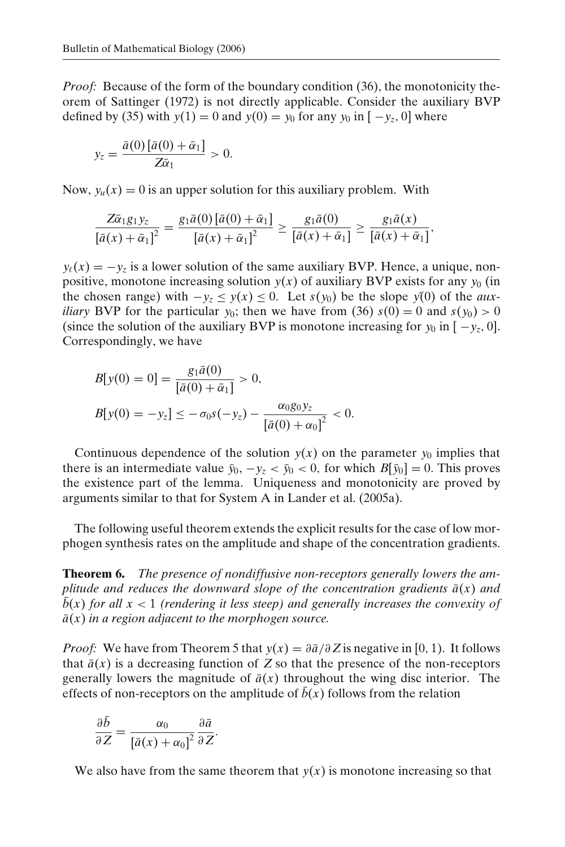*Proof:* Because of the form of the boundary condition (36), the monotonicity theorem of Sattinger (1972) is not directly applicable. Consider the auxiliary BVP defined by (35) with  $y(1) = 0$  and  $y(0) = y_0$  for any  $y_0$  in  $[-y_0, 0]$  where

$$
y_z = \frac{\bar{a}(0)\left[\bar{a}(0) + \bar{\alpha}_1\right]}{Z\bar{\alpha}_1} > 0.
$$

Now,  $y_u(x) = 0$  is an upper solution for this auxiliary problem. With

$$
\frac{Z\bar{\alpha}_1g_1y_z}{\left[\bar{a}(x)+\bar{\alpha}_1\right]^2}=\frac{g_1\bar{a}(0)\left[\bar{a}(0)+\bar{\alpha}_1\right]}{\left[\bar{a}(x)+\bar{\alpha}_1\right]^2}\geq \frac{g_1\bar{a}(0)}{\left[\bar{a}(x)+\bar{\alpha}_1\right]}\geq \frac{g_1\bar{a}(x)}{\left[\bar{a}(x)+\bar{\alpha}_1\right]},
$$

 $y_{\ell}(x) = -y_{\ell}$  is a lower solution of the same auxiliary BVP. Hence, a unique, nonpositive, monotone increasing solution  $y(x)$  of auxiliary BVP exists for any  $y_0$  (in the chosen range) with  $-y_z \le y(x) \le 0$ . Let  $s(y_0)$  be the slope  $y(0)$  of the *auxiliary* BVP for the particular  $y_0$ ; then we have from (36)  $s(0) = 0$  and  $s(y_0) > 0$ (since the solution of the auxiliary BVP is monotone increasing for  $y_0$  in  $[-y_z, 0]$ .) Correspondingly, we have

$$
B[y(0) = 0] = \frac{g_1 \bar{a}(0)}{[\bar{a}(0) + \bar{\alpha}_1]} > 0,
$$
  
\n
$$
B[y(0) = -y_z] \le -\sigma_0 s(-y_z) - \frac{\alpha_0 g_0 y_z}{[\bar{a}(0) + \alpha_0]^2} < 0.
$$

Continuous dependence of the solution  $y(x)$  on the parameter  $y_0$  implies that there is an intermediate value  $\bar{y}_0$ ,  $-y_z < \bar{y}_0 < 0$ , for which  $B[\bar{y}_0] = 0$ . This proves the existence part of the lemma. Uniqueness and monotonicity are proved by arguments similar to that for System A in Lander et al. (2005a).

The following useful theorem extends the explicit results for the case of low morphogen synthesis rates on the amplitude and shape of the concentration gradients.

**Theorem 6.** *The presence of nondiffusive non-receptors generally lowers the amplitude and reduces the downward slope of the concentration gradients*  $\bar{a}(x)$  *and*  $\bar{b}(x)$  *for all x* < 1 *(rendering it less steep) and generally increases the convexity of*  $\bar{a}(x)$  *in a region adjacent to the morphogen source.* 

*Proof:* We have from Theorem 5 that  $y(x) = \frac{\partial \bar{a}}{\partial Z}$  is negative in [0, 1). It follows that  $\bar{a}(x)$  is a decreasing function of Z so that the presence of the non-receptors generally lowers the magnitude of  $\bar{a}(x)$  throughout the wing disc interior. The effects of non-receptors on the amplitude of  $\bar{b}(x)$  follows from the relation

$$
\frac{\partial \bar{b}}{\partial Z} = \frac{\alpha_0}{\left[\bar{a}(x) + \alpha_0\right]^2} \frac{\partial \bar{a}}{\partial Z}.
$$

We also have from the same theorem that  $y(x)$  is monotone increasing so that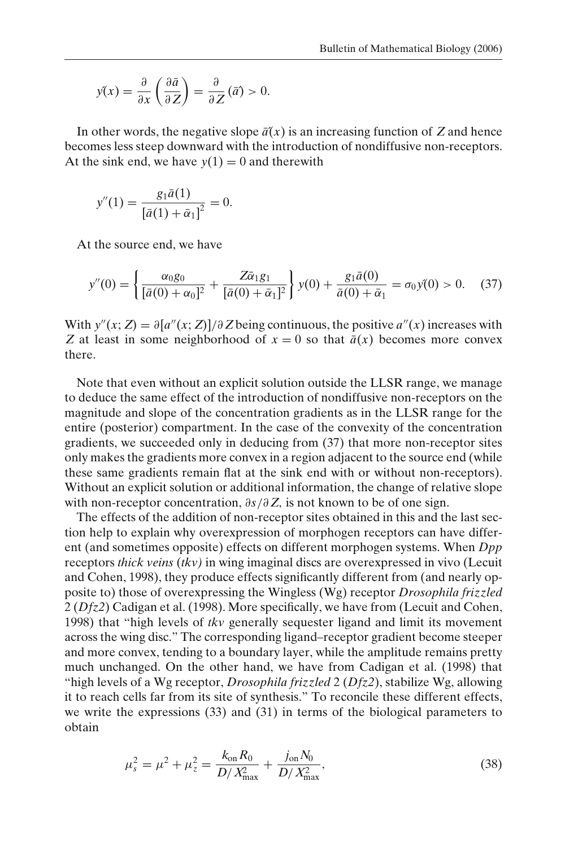$$
y(x) = \frac{\partial}{\partial x} \left( \frac{\partial \bar{a}}{\partial z} \right) = \frac{\partial}{\partial z} (\bar{a}) > 0.
$$

In other words, the negative slope  $\bar{a}(x)$  is an increasing function of Z and hence becomes less steep downward with the introduction of nondiffusive non-receptors. At the sink end, we have  $y(1) = 0$  and therewith

$$
y''(1) = \frac{g_1 \bar{a}(1)}{[\bar{a}(1) + \bar{\alpha}_1]^2} = 0.
$$

At the source end, we have

$$
y''(0) = \left\{ \frac{\alpha_0 g_0}{[\bar{a}(0) + \alpha_0]^2} + \frac{Z \bar{\alpha}_1 g_1}{[\bar{a}(0) + \bar{\alpha}_1]^2} \right\} y(0) + \frac{g_1 \bar{a}(0)}{\bar{a}(0) + \bar{\alpha}_1} = \sigma_0 y(0) > 0. \quad (37)
$$

With  $y''(x; Z) = \partial [a''(x; Z)]/\partial Z$  being continuous, the positive  $a''(x)$  increases with *Z* at least in some neighborhood of  $x = 0$  so that  $\bar{a}(x)$  becomes more convex there.

Note that even without an explicit solution outside the LLSR range, we manage to deduce the same effect of the introduction of nondiffusive non-receptors on the magnitude and slope of the concentration gradients as in the LLSR range for the entire (posterior) compartment. In the case of the convexity of the concentration gradients, we succeeded only in deducing from (37) that more non-receptor sites only makes the gradients more convex in a region adjacent to the source end (while these same gradients remain flat at the sink end with or without non-receptors). Without an explicit solution or additional information, the change of relative slope with non-receptor concentration,  $\partial s / \partial Z$ , is not known to be of one sign.

The effects of the addition of non-receptor sites obtained in this and the last section help to explain why overexpression of morphogen receptors can have different (and sometimes opposite) effects on different morphogen systems. When *Dpp* receptors *thick veins* (*tkv)* in wing imaginal discs are overexpressed in vivo (Lecuit and Cohen, 1998), they produce effects significantly different from (and nearly opposite to) those of overexpressing the Wingless (Wg) receptor *Drosophila frizzled* 2 (*Dfz2*) Cadigan et al. (1998). More specifically, we have from (Lecuit and Cohen, 1998) that "high levels of *tkv* generally sequester ligand and limit its movement across the wing disc." The corresponding ligand–receptor gradient become steeper and more convex, tending to a boundary layer, while the amplitude remains pretty much unchanged. On the other hand, we have from Cadigan et al. (1998) that "high levels of a Wg receptor, *Drosophila frizzled* 2 (*Dfz2*), stabilize Wg, allowing it to reach cells far from its site of synthesis." To reconcile these different effects, we write the expressions (33) and (31) in terms of the biological parameters to obtain

$$
\mu_s^2 = \mu^2 + \mu_z^2 = \frac{k_{\rm on} R_0}{D / X_{\rm max}^2} + \frac{j_{\rm on} N_0}{D / X_{\rm max}^2},\tag{38}
$$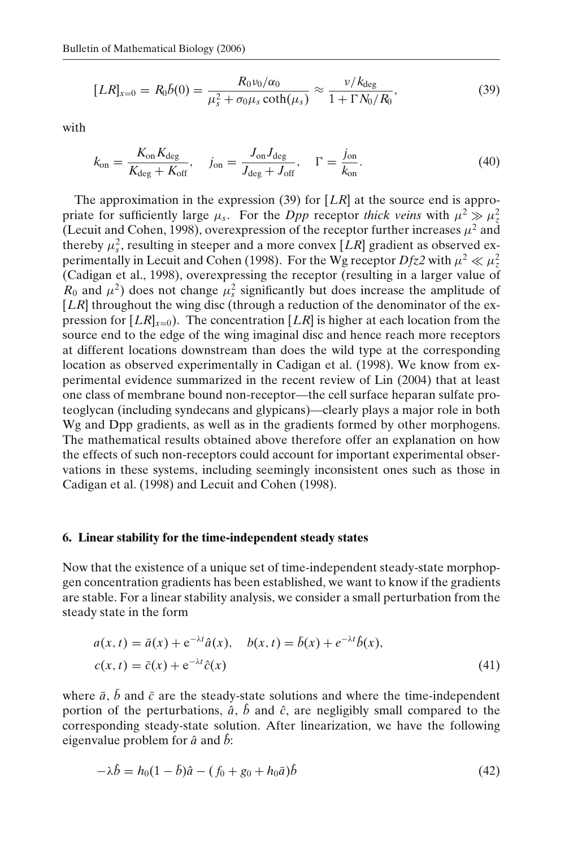$$
[LR]_{x=0} = R_0 \bar{b}(0) = \frac{R_0 \nu_0/\alpha_0}{\mu_s^2 + \sigma_0 \mu_s \coth(\mu_s)} \approx \frac{\nu/k_{\text{deg}}}{1 + \Gamma N_0/R_0},\tag{39}
$$

with

$$
k_{\rm on} = \frac{K_{\rm on} K_{\rm deg}}{K_{\rm deg} + K_{\rm off}}, \quad j_{\rm on} = \frac{J_{\rm on} J_{\rm deg}}{J_{\rm deg} + J_{\rm off}}, \quad \Gamma = \frac{j_{\rm on}}{k_{\rm on}}.\tag{40}
$$

The approximation in the expression (39) for [*LR*] at the source end is appropriate for sufficiently large  $\mu_s$ . For the *Dpp* receptor *thick veins* with  $\mu^2 \gg \mu_z^2$ (Lecuit and Cohen, 1998), overexpression of the receptor further increases  $\mu^2$  and thereby  $\mu_s^2$ , resulting in steeper and a more convex [*LR*] gradient as observed experimentally in Lecuit and Cohen (1998). For the Wg receptor  $Dfz2$  with  $\mu^2 \ll \mu_z^2$ (Cadigan et al., 1998), overexpressing the receptor (resulting in a larger value of  $R_0$  and  $\mu^2$ ) does not change  $\mu_s^2$  significantly but does increase the amplitude of [*LR*] throughout the wing disc (through a reduction of the denominator of the expression for  $[LR]_{x=0}$ ). The concentration  $[LR]$  is higher at each location from the source end to the edge of the wing imaginal disc and hence reach more receptors at different locations downstream than does the wild type at the corresponding location as observed experimentally in Cadigan et al. (1998). We know from experimental evidence summarized in the recent review of Lin (2004) that at least one class of membrane bound non-receptor—the cell surface heparan sulfate proteoglycan (including syndecans and glypicans)—clearly plays a major role in both Wg and Dpp gradients, as well as in the gradients formed by other morphogens. The mathematical results obtained above therefore offer an explanation on how the effects of such non-receptors could account for important experimental observations in these systems, including seemingly inconsistent ones such as those in Cadigan et al. (1998) and Lecuit and Cohen (1998).

## **6. Linear stability for the time-independent steady states**

Now that the existence of a unique set of time-independent steady-state morphopgen concentration gradients has been established, we want to know if the gradients are stable. For a linear stability analysis, we consider a small perturbation from the steady state in the form

$$
a(x, t) = \bar{a}(x) + e^{-\lambda t} \hat{a}(x), \quad b(x, t) = \bar{b}(x) + e^{-\lambda t} \hat{b}(x), c(x, t) = \bar{c}(x) + e^{-\lambda t} \hat{c}(x)
$$
\n(41)

where  $\bar{a}$ ,  $\bar{b}$  and  $\bar{c}$  are the steady-state solutions and where the time-independent portion of the perturbations,  $\hat{a}$ ,  $\hat{b}$  and  $\hat{c}$ , are negligibly small compared to the corresponding steady-state solution. After linearization, we have the following eigenvalue problem for  $\hat{a}$  and  $\hat{b}$ .

$$
-\lambda \hat{b} = h_0 (1 - \bar{b}) \hat{a} - (f_0 + g_0 + h_0 \bar{a}) \hat{b}
$$
\n(42)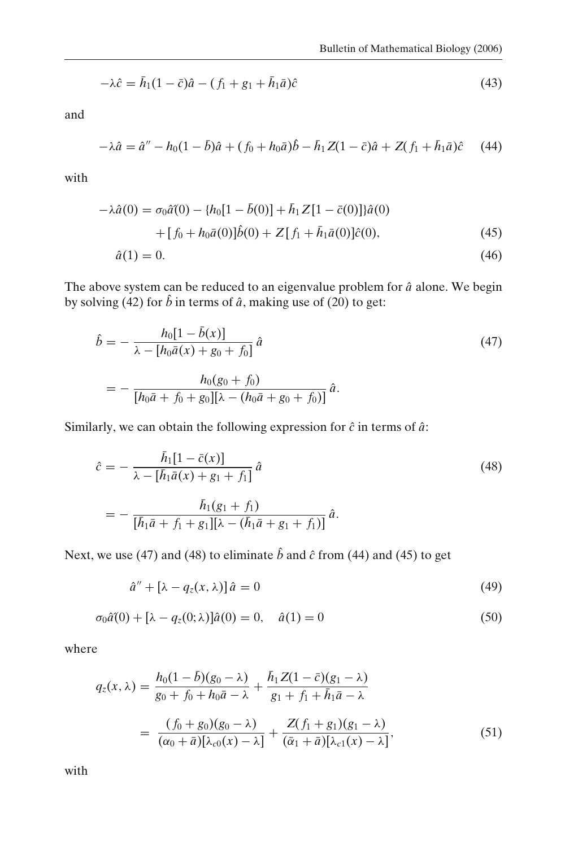$$
-\lambda \hat{c} = \bar{h}_1 (1 - \bar{c}) \hat{a} - (f_1 + g_1 + \bar{h}_1 \bar{a}) \hat{c}
$$
\n(43)

and

$$
-\lambda \hat{a} = \hat{a}'' - h_0(1 - \bar{b})\hat{a} + (f_0 + h_0\bar{a})\hat{b} - \bar{h}_1 Z(1 - \bar{c})\hat{a} + Z(f_1 + \bar{h}_1\bar{a})\hat{c} \tag{44}
$$

with

$$
-\lambda \hat{a}(0) = \sigma_0 \hat{a}(0) - \{h_0[1 - \bar{b}(0)] + \bar{h}_1 Z[1 - \bar{c}(0)]\}\hat{a}(0)
$$

$$
+ [f_0 + h_0 \bar{a}(0)]\hat{b}(0) + Z[f_1 + \bar{h}_1 \bar{a}(0)]\hat{c}(0),
$$
(45)
$$
\hat{a}(1) = 0.
$$
(46)

The above system can be reduced to an eigenvalue problem for  $\hat{a}$  alone. We begin by solving (42) for  $\hat{b}$  in terms of  $\hat{a}$ , making use of (20) to get:

$$
\hat{b} = -\frac{h_0[1 - \bar{b}(x)]}{\lambda - [h_0\bar{a}(x) + g_0 + f_0]} \hat{a}
$$
\n
$$
= -\frac{h_0(g_0 + f_0)}{[h_0\bar{a} + f_0 + g_0][\lambda - (h_0\bar{a} + g_0 + f_0)]} \hat{a}.
$$
\n(47)

Similarly, we can obtain the following expression for  $\hat{c}$  in terms of  $\hat{a}$ :

$$
\hat{c} = -\frac{\bar{h}_1[1 - \bar{c}(x)]}{\lambda - [\bar{h}_1 \bar{a}(x) + g_1 + f_1]} \hat{a}
$$
\n
$$
= -\frac{\bar{h}_1(g_1 + f_1)}{[\bar{h}_1 \bar{a} + f_1 + g_1][\lambda - (\bar{h}_1 \bar{a} + g_1 + f_1)]} \hat{a}.
$$
\n(48)

Next, we use (47) and (48) to eliminate  $\hat{b}$  and  $\hat{c}$  from (44) and (45) to get

$$
\hat{a}'' + [\lambda - q_z(x, \lambda)] \hat{a} = 0 \tag{49}
$$

$$
\sigma_0 \hat{a}(0) + [\lambda - q_z(0; \lambda)] \hat{a}(0) = 0, \quad \hat{a}(1) = 0 \tag{50}
$$

where

$$
q_z(x,\lambda) = \frac{h_0(1-\bar{b})(g_0-\lambda)}{g_0+f_0+h_0\bar{a}-\lambda} + \frac{\bar{h}_1 Z(1-\bar{c})(g_1-\lambda)}{g_1+f_1+\bar{h}_1\bar{a}-\lambda}
$$

$$
= \frac{(f_0+g_0)(g_0-\lambda)}{(\alpha_0+\bar{a})[\lambda_{c0}(x)-\lambda]} + \frac{Z(f_1+g_1)(g_1-\lambda)}{(\bar{\alpha}_1+\bar{a})[\lambda_{c1}(x)-\lambda]},
$$
(51)

with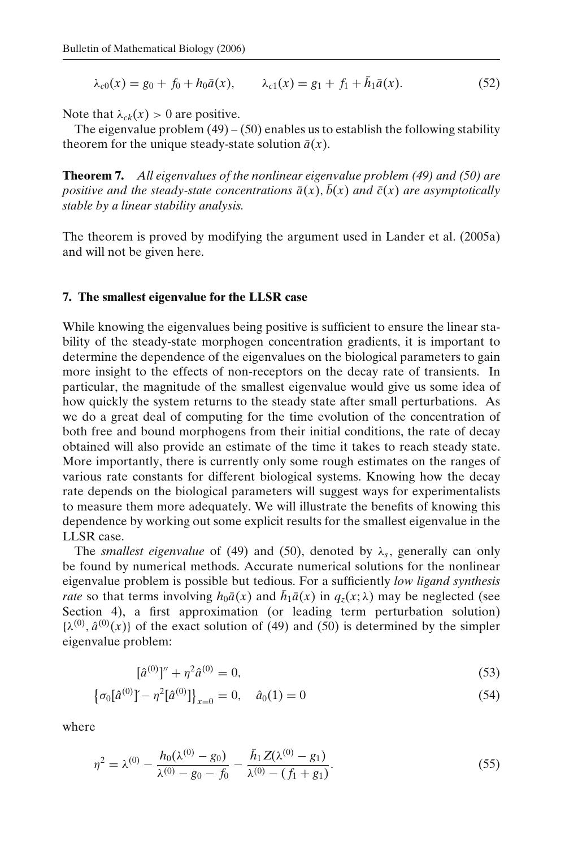$$
\lambda_{c0}(x) = g_0 + f_0 + h_0 \bar{a}(x), \qquad \lambda_{c1}(x) = g_1 + f_1 + \bar{h}_1 \bar{a}(x). \tag{52}
$$

Note that  $\lambda_{ck}(x) > 0$  are positive.

The eigenvalue problem  $(49) - (50)$  enables us to establish the following stability theorem for the unique steady-state solution  $\bar{a}(x)$ .

**Theorem 7.** *All eigenvalues of the nonlinear eigenvalue problem (49) and (50) are positive and the steady-state concentrations*  $\bar{a}(x)$ ,  $\bar{b}(x)$  *and*  $\bar{c}(x)$  *are asymptotically stable by a linear stability analysis.*

The theorem is proved by modifying the argument used in Lander et al. (2005a) and will not be given here.

### **7. The smallest eigenvalue for the LLSR case**

While knowing the eigenvalues being positive is sufficient to ensure the linear stability of the steady-state morphogen concentration gradients, it is important to determine the dependence of the eigenvalues on the biological parameters to gain more insight to the effects of non-receptors on the decay rate of transients. In particular, the magnitude of the smallest eigenvalue would give us some idea of how quickly the system returns to the steady state after small perturbations. As we do a great deal of computing for the time evolution of the concentration of both free and bound morphogens from their initial conditions, the rate of decay obtained will also provide an estimate of the time it takes to reach steady state. More importantly, there is currently only some rough estimates on the ranges of various rate constants for different biological systems. Knowing how the decay rate depends on the biological parameters will suggest ways for experimentalists to measure them more adequately. We will illustrate the benefits of knowing this dependence by working out some explicit results for the smallest eigenvalue in the LLSR case.

The *smallest eigenvalue* of (49) and (50), denoted by  $\lambda_s$ , generally can only be found by numerical methods. Accurate numerical solutions for the nonlinear eigenvalue problem is possible but tedious. For a sufficiently *low ligand synthesis rate* so that terms involving  $h_0\bar{a}(x)$  and  $\bar{h}_1\bar{a}(x)$  in  $q_z(x;\lambda)$  may be neglected (see Section 4), a first approximation (or leading term perturbation solution)  $\{\lambda^{(0)}, \hat{a}^{(0)}(x)\}\$  of the exact solution of (49) and (50) is determined by the simpler eigenvalue problem:

$$
[\hat{a}^{(0)}]'' + \eta^2 \hat{a}^{(0)} = 0,\t\t(53)
$$

$$
\{\sigma_0[\hat{a}^{(0)}] - \eta^2[\hat{a}^{(0)}]\}_{x=0} = 0, \quad \hat{a}_0(1) = 0 \tag{54}
$$

where

$$
\eta^2 = \lambda^{(0)} - \frac{h_0(\lambda^{(0)} - g_0)}{\lambda^{(0)} - g_0 - f_0} - \frac{\bar{h}_1 Z(\lambda^{(0)} - g_1)}{\lambda^{(0)} - (f_1 + g_1)}.
$$
\n(55)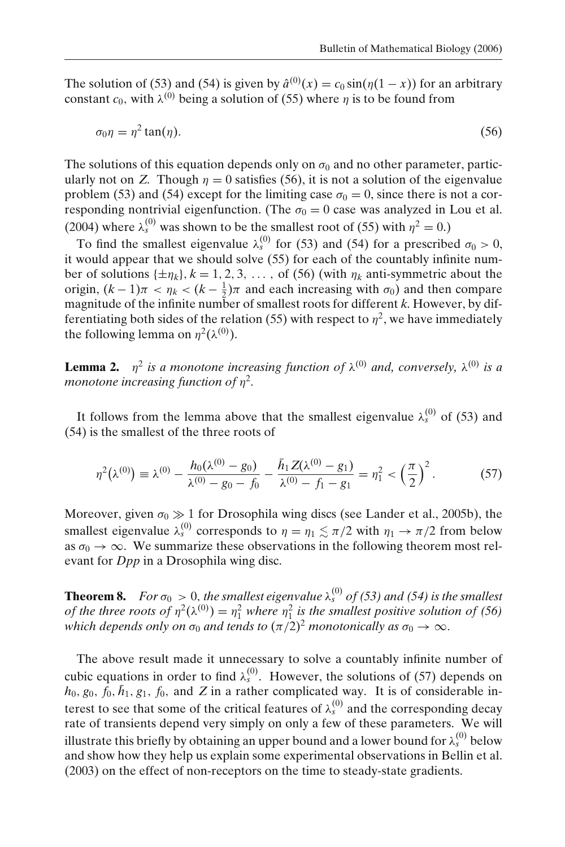The solution of (53) and (54) is given by  $\hat{a}^{(0)}(x) = c_0 \sin(\eta(1-x))$  for an arbitrary constant  $c_0$ , with  $\lambda^{(0)}$  being a solution of (55) where  $\eta$  is to be found from

$$
\sigma_0 \eta = \eta^2 \tan(\eta). \tag{56}
$$

The solutions of this equation depends only on  $\sigma_0$  and no other parameter, particularly not on *Z*. Though  $\eta = 0$  satisfies (56), it is not a solution of the eigenvalue problem (53) and (54) except for the limiting case  $\sigma_0 = 0$ , since there is not a corresponding nontrivial eigenfunction. (The  $\sigma_0 = 0$  case was analyzed in Lou et al. (2004) where  $\lambda_s^{(0)}$  was shown to be the smallest root of (55) with  $\eta^2 = 0$ .)

To find the smallest eigenvalue  $\lambda_s^{(0)}$  for (53) and (54) for a prescribed  $\sigma_0 > 0$ , it would appear that we should solve (55) for each of the countably infinite number of solutions  $\{\pm \eta_k\}$ ,  $k = 1, 2, 3, \ldots$ , of (56) (with  $\eta_k$  anti-symmetric about the origin,  $(k-1)\pi < \eta_k < (k-\frac{1}{2})\pi$  and each increasing with  $\sigma_0$ ) and then compare magnitude of the infinite number of smallest roots for different *k*. However, by differentiating both sides of the relation (55) with respect to  $\eta^2$ , we have immediately the following lemma on  $\eta^2(\lambda^{(0)})$ .

**Lemma 2.**  $\eta^2$  *is a monotone increasing function of*  $\lambda^{(0)}$  *and, conversely,*  $\lambda^{(0)}$  *is a monotone increasing function of* η<sup>2</sup>*.*

It follows from the lemma above that the smallest eigenvalue  $\lambda_s^{(0)}$  of (53) and (54) is the smallest of the three roots of

$$
\eta^2(\lambda^{(0)}) \equiv \lambda^{(0)} - \frac{h_0(\lambda^{(0)} - g_0)}{\lambda^{(0)} - g_0 - f_0} - \frac{\bar{h}_1 Z(\lambda^{(0)} - g_1)}{\lambda^{(0)} - f_1 - g_1} = \eta_1^2 < \left(\frac{\pi}{2}\right)^2. \tag{57}
$$

Moreover, given  $\sigma_0 \gg 1$  for Drosophila wing discs (see Lander et al., 2005b), the smallest eigenvalue  $\lambda_s^{(0)}$  corresponds to  $\eta = \eta_1 \lesssim \pi/2$  with  $\eta_1 \to \pi/2$  from below as  $\sigma_0 \to \infty$ . We summarize these observations in the following theorem most relevant for *Dpp* in a Drosophila wing disc.

**Theorem 8.** *For*  $\sigma_0 > 0$ , the smallest eigenvalue  $\lambda_s^{(0)}$  of (53) and (54) is the smallest *of the three roots of*  $\eta^2(\lambda^{(0)}) = \eta_1^2$  *where*  $\eta_1^2$  *is the smallest positive solution of* (56) *which depends only on*  $\sigma_0$  *and tends to*  $(\pi/2)^2$  *monotonically as*  $\sigma_0 \rightarrow \infty$ .

The above result made it unnecessary to solve a countably infinite number of cubic equations in order to find  $\lambda_s^{(0)}$ . However, the solutions of (57) depends on  $h_0$ ,  $g_0$ ,  $\bar{f}_0$ ,  $\bar{h}_1$ ,  $g_1$ ,  $f_0$ , and *Z* in a rather complicated way. It is of considerable interest to see that some of the critical features of  $\lambda_s^{(0)}$  and the corresponding decay rate of transients depend very simply on only a few of these parameters. We will illustrate this briefly by obtaining an upper bound and a lower bound for  $\lambda_s^{(0)}$  below and show how they help us explain some experimental observations in Bellin et al. (2003) on the effect of non-receptors on the time to steady-state gradients.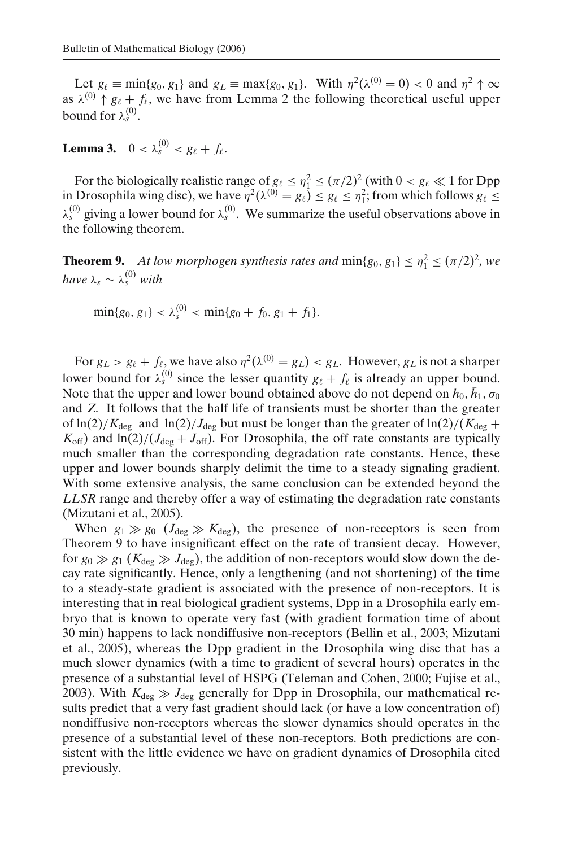Let  $g_\ell \equiv \min\{g_0, g_1\}$  and  $g_L \equiv \max\{g_0, g_1\}$ . With  $\eta^2(\lambda^{(0)} = 0) < 0$  and  $\eta^2 \uparrow \infty$ as  $\lambda^{(0)}$   $\uparrow$   $g_{\ell}$  +  $f_{\ell}$ , we have from Lemma 2 the following theoretical useful upper bound for  $\lambda_s^{(0)}$ .

**Lemma 3.**  $0 < \lambda_s^{(0)} < g_\ell + f_\ell$ .

For the biologically realistic range of  $g_\ell \leq \eta_1^2 \leq (\pi/2)^2$  (with  $0 < g_\ell \ll 1$  for Dpp in Drosophila wing disc), we have  $\eta^2(\lambda^{(0)} = g_\ell) \leq g_\ell \leq \eta_1^2$ ; from which follows  $g_\ell \leq$  $\lambda_s^{(0)}$  giving a lower bound for  $\lambda_s^{(0)}$ . We summarize the useful observations above in the following theorem.

**Theorem 9.** *At low morphogen synthesis rates and*  $min\{g_0, g_1\} \leq \eta_1^2 \leq (\pi/2)^2$ , we  $h$ ave  $\lambda_s \sim \lambda_s^{(0)}$  with

$$
\min\{g_0, g_1\} < \lambda_s^{(0)} < \min\{g_0 + f_0, g_1 + f_1\}.
$$

For  $g_L > g_\ell + f_\ell$ , we have also  $\eta^2(\lambda^{(0)} = g_L) < g_L$ . However,  $g_L$  is not a sharper lower bound for  $\lambda_s^{(0)}$  since the lesser quantity  $g_\ell + f_\ell$  is already an upper bound. Note that the upper and lower bound obtained above do not depend on  $h_0$ ,  $\bar{h}_1$ ,  $\sigma_0$ and *Z*. It follows that the half life of transients must be shorter than the greater of  $\ln(2)/K_{\text{deg}}$  and  $\ln(2)/J_{\text{deg}}$  but must be longer than the greater of  $\ln(2)/(K_{\text{deg}} +$  $K_{\text{off}}$ ) and  $\ln(2)/(J_{\text{deg}} + J_{\text{off}})$ . For Drosophila, the off rate constants are typically much smaller than the corresponding degradation rate constants. Hence, these upper and lower bounds sharply delimit the time to a steady signaling gradient. With some extensive analysis, the same conclusion can be extended beyond the *LLSR* range and thereby offer a way of estimating the degradation rate constants (Mizutani et al., 2005).

When  $g_1 \gg g_0$  ( $J_{\text{deg}} \gg K_{\text{deg}}$ ), the presence of non-receptors is seen from Theorem 9 to have insignificant effect on the rate of transient decay. However, for  $g_0 \gg g_1$  ( $K_{\text{deg}} \gg J_{\text{deg}}$ ), the addition of non-receptors would slow down the decay rate significantly. Hence, only a lengthening (and not shortening) of the time to a steady-state gradient is associated with the presence of non-receptors. It is interesting that in real biological gradient systems, Dpp in a Drosophila early embryo that is known to operate very fast (with gradient formation time of about 30 min) happens to lack nondiffusive non-receptors (Bellin et al., 2003; Mizutani et al., 2005), whereas the Dpp gradient in the Drosophila wing disc that has a much slower dynamics (with a time to gradient of several hours) operates in the presence of a substantial level of HSPG (Teleman and Cohen, 2000; Fujise et al., 2003). With  $K_{\text{deg}} \gg J_{\text{deg}}$  generally for Dpp in Drosophila, our mathematical results predict that a very fast gradient should lack (or have a low concentration of) nondiffusive non-receptors whereas the slower dynamics should operates in the presence of a substantial level of these non-receptors. Both predictions are consistent with the little evidence we have on gradient dynamics of Drosophila cited previously.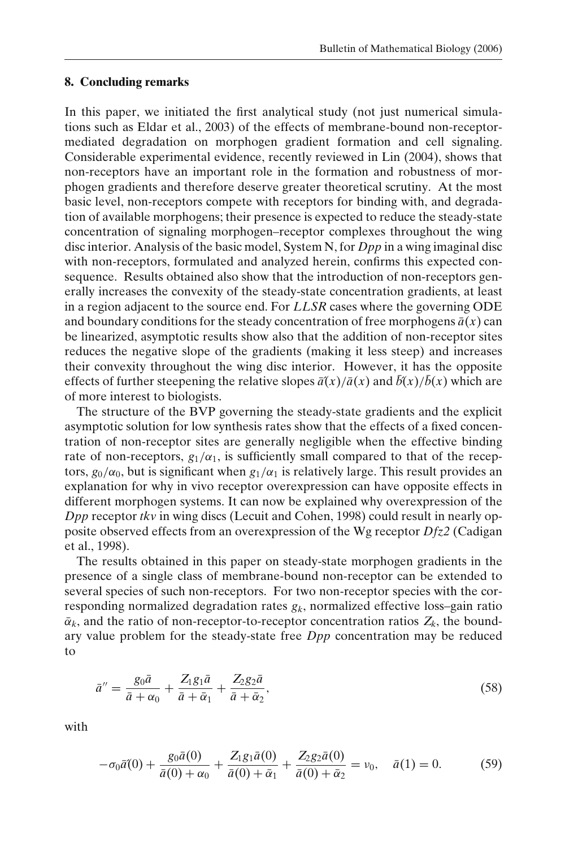#### **8. Concluding remarks**

In this paper, we initiated the first analytical study (not just numerical simulations such as Eldar et al., 2003) of the effects of membrane-bound non-receptormediated degradation on morphogen gradient formation and cell signaling. Considerable experimental evidence, recently reviewed in Lin (2004), shows that non-receptors have an important role in the formation and robustness of morphogen gradients and therefore deserve greater theoretical scrutiny. At the most basic level, non-receptors compete with receptors for binding with, and degradation of available morphogens; their presence is expected to reduce the steady-state concentration of signaling morphogen–receptor complexes throughout the wing disc interior. Analysis of the basic model, System N, for *Dpp* in a wing imaginal disc with non-receptors, formulated and analyzed herein, confirms this expected consequence. Results obtained also show that the introduction of non-receptors generally increases the convexity of the steady-state concentration gradients, at least in a region adjacent to the source end. For *LLSR* cases where the governing ODE and boundary conditions for the steady concentration of free morphogens  $\bar{a}(x)$  can be linearized, asymptotic results show also that the addition of non-receptor sites reduces the negative slope of the gradients (making it less steep) and increases their convexity throughout the wing disc interior. However, it has the opposite effects of further steepening the relative slopes  $\bar{a}(x)/\bar{a}(x)$  and  $\bar{b}(x)/\bar{b}(x)$  which are of more interest to biologists.

The structure of the BVP governing the steady-state gradients and the explicit asymptotic solution for low synthesis rates show that the effects of a fixed concentration of non-receptor sites are generally negligible when the effective binding rate of non-receptors,  $g_1/\alpha_1$ , is sufficiently small compared to that of the receptors,  $g_0/\alpha_0$ , but is significant when  $g_1/\alpha_1$  is relatively large. This result provides an explanation for why in vivo receptor overexpression can have opposite effects in different morphogen systems. It can now be explained why overexpression of the *Dpp* receptor *tkv* in wing discs (Lecuit and Cohen, 1998) could result in nearly opposite observed effects from an overexpression of the Wg receptor *Dfz2* (Cadigan et al., 1998).

The results obtained in this paper on steady-state morphogen gradients in the presence of a single class of membrane-bound non-receptor can be extended to several species of such non-receptors. For two non-receptor species with the corresponding normalized degradation rates  $g_k$ , normalized effective loss–gain ratio  $\bar{\alpha}_k$ , and the ratio of non-receptor-to-receptor concentration ratios  $Z_k$ , the boundary value problem for the steady-state free *Dpp* concentration may be reduced to

$$
\bar{a}'' = \frac{g_0 \bar{a}}{\bar{a} + \alpha_0} + \frac{Z_1 g_1 \bar{a}}{\bar{a} + \bar{\alpha}_1} + \frac{Z_2 g_2 \bar{a}}{\bar{a} + \bar{\alpha}_2},\tag{58}
$$

with

$$
-\sigma_0 \bar{a}(0) + \frac{g_0 \bar{a}(0)}{\bar{a}(0) + \alpha_0} + \frac{Z_1 g_1 \bar{a}(0)}{\bar{a}(0) + \bar{\alpha}_1} + \frac{Z_2 g_2 \bar{a}(0)}{\bar{a}(0) + \bar{\alpha}_2} = \nu_0, \quad \bar{a}(1) = 0.
$$
 (59)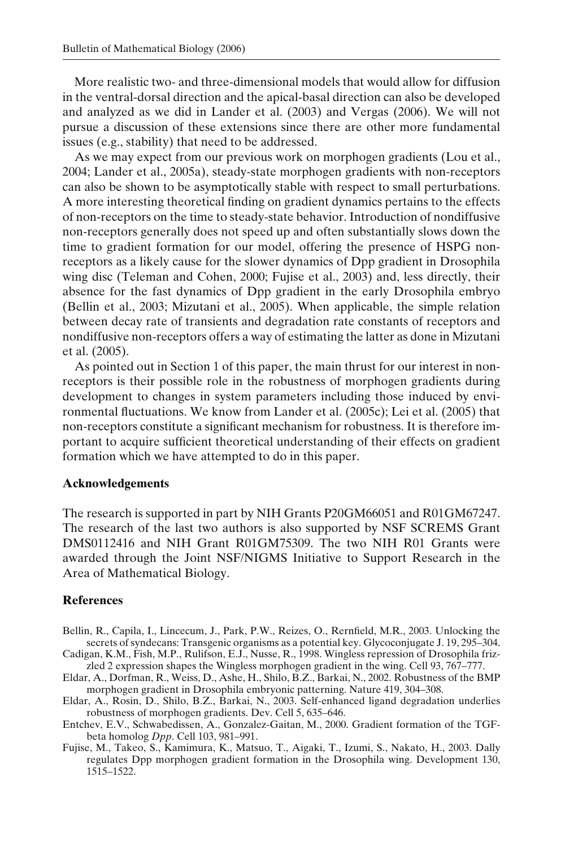More realistic two- and three-dimensional models that would allow for diffusion in the ventral-dorsal direction and the apical-basal direction can also be developed and analyzed as we did in Lander et al. (2003) and Vergas (2006). We will not pursue a discussion of these extensions since there are other more fundamental issues (e.g., stability) that need to be addressed.

As we may expect from our previous work on morphogen gradients (Lou et al., 2004; Lander et al., 2005a), steady-state morphogen gradients with non-receptors can also be shown to be asymptotically stable with respect to small perturbations. A more interesting theoretical finding on gradient dynamics pertains to the effects of non-receptors on the time to steady-state behavior. Introduction of nondiffusive non-receptors generally does not speed up and often substantially slows down the time to gradient formation for our model, offering the presence of HSPG nonreceptors as a likely cause for the slower dynamics of Dpp gradient in Drosophila wing disc (Teleman and Cohen, 2000; Fujise et al., 2003) and, less directly, their absence for the fast dynamics of Dpp gradient in the early Drosophila embryo (Bellin et al., 2003; Mizutani et al., 2005). When applicable, the simple relation between decay rate of transients and degradation rate constants of receptors and nondiffusive non-receptors offers a way of estimating the latter as done in Mizutani et al. (2005).

As pointed out in Section 1 of this paper, the main thrust for our interest in nonreceptors is their possible role in the robustness of morphogen gradients during development to changes in system parameters including those induced by environmental fluctuations. We know from Lander et al. (2005c); Lei et al. (2005) that non-receptors constitute a significant mechanism for robustness. It is therefore important to acquire sufficient theoretical understanding of their effects on gradient formation which we have attempted to do in this paper.

#### **Acknowledgements**

The research is supported in part by NIH Grants P20GM66051 and R01GM67247. The research of the last two authors is also supported by NSF SCREMS Grant DMS0112416 and NIH Grant R01GM75309. The two NIH R01 Grants were awarded through the Joint NSF/NIGMS Initiative to Support Research in the Area of Mathematical Biology.

## **References**

- Bellin, R., Capila, I., Lincecum, J., Park, P.W., Reizes, O., Rernfield, M.R., 2003. Unlocking the secrets of syndecans: Transgenic organisms as a potential key. Glycoconjugate J. 19, 295–304.
- Cadigan, K.M., Fish, M.P., Rulifson, E.J., Nusse, R., 1998. Wingless repression of Drosophila frizzled 2 expression shapes the Wingless morphogen gradient in the wing. Cell 93, 767–777.
- Eldar, A., Dorfman, R., Weiss, D., Ashe, H., Shilo, B.Z., Barkai, N., 2002. Robustness of the BMP morphogen gradient in Drosophila embryonic patterning. Nature 419, 304–308.
- Eldar, A., Rosin, D., Shilo, B.Z., Barkai, N., 2003. Self-enhanced ligand degradation underlies robustness of morphogen gradients. Dev. Cell 5, 635–646.
- Entchev, E.V., Schwabedissen, A., Gonzalez-Gaitan, M., 2000. Gradient formation of the TGFbeta homolog *Dpp*. Cell 103, 981–991.
- Fujise, M., Takeo, S., Kamimura, K., Matsuo, T., Aigaki, T., Izumi, S., Nakato, H., 2003. Dally regulates Dpp morphogen gradient formation in the Drosophila wing. Development 130, 1515–1522.